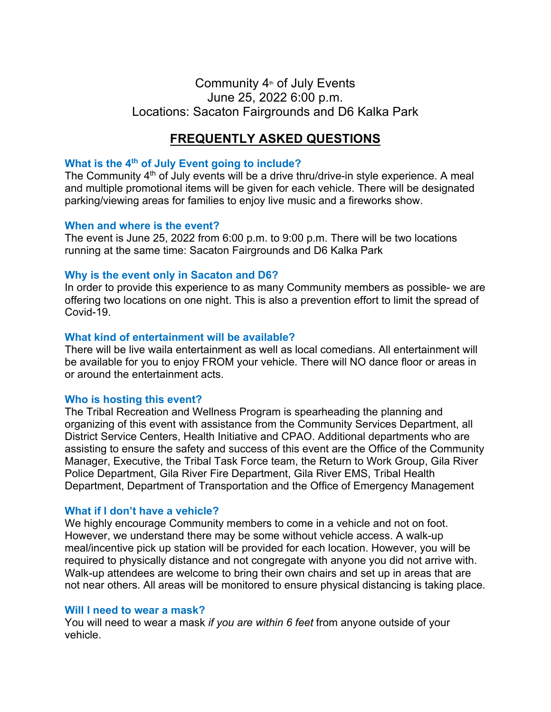## Community  $4<sup>th</sup>$  of July Events June 25, 2022 6:00 p.m. Locations: Sacaton Fairgrounds and D6 Kalka Park

# **FREQUENTLY ASKED QUESTIONS**

## **What is the 4th of July Event going to include?**

The Community  $4<sup>th</sup>$  of July events will be a drive thru/drive-in style experience. A meal and multiple promotional items will be given for each vehicle. There will be designated parking/viewing areas for families to enjoy live music and a fireworks show.

## **When and where is the event?**

The event is June 25, 2022 from 6:00 p.m. to 9:00 p.m. There will be two locations running at the same time: Sacaton Fairgrounds and D6 Kalka Park

## **Why is the event only in Sacaton and D6?**

In order to provide this experience to as many Community members as possible- we are offering two locations on one night. This is also a prevention effort to limit the spread of Covid-19.

## **What kind of entertainment will be available?**

There will be live waila entertainment as well as local comedians. All entertainment will be available for you to enjoy FROM your vehicle. There will NO dance floor or areas in or around the entertainment acts.

## **Who is hosting this event?**

The Tribal Recreation and Wellness Program is spearheading the planning and organizing of this event with assistance from the Community Services Department, all District Service Centers, Health Initiative and CPAO. Additional departments who are assisting to ensure the safety and success of this event are the Office of the Community Manager, Executive, the Tribal Task Force team, the Return to Work Group, Gila River Police Department, Gila River Fire Department, Gila River EMS, Tribal Health Department, Department of Transportation and the Office of Emergency Management

## **What if I don't have a vehicle?**

We highly encourage Community members to come in a vehicle and not on foot. However, we understand there may be some without vehicle access. A walk-up meal/incentive pick up station will be provided for each location. However, you will be required to physically distance and not congregate with anyone you did not arrive with. Walk-up attendees are welcome to bring their own chairs and set up in areas that are not near others. All areas will be monitored to ensure physical distancing is taking place.

## **Will I need to wear a mask?**

You will need to wear a mask *if you are within 6 feet* from anyone outside of your vehicle.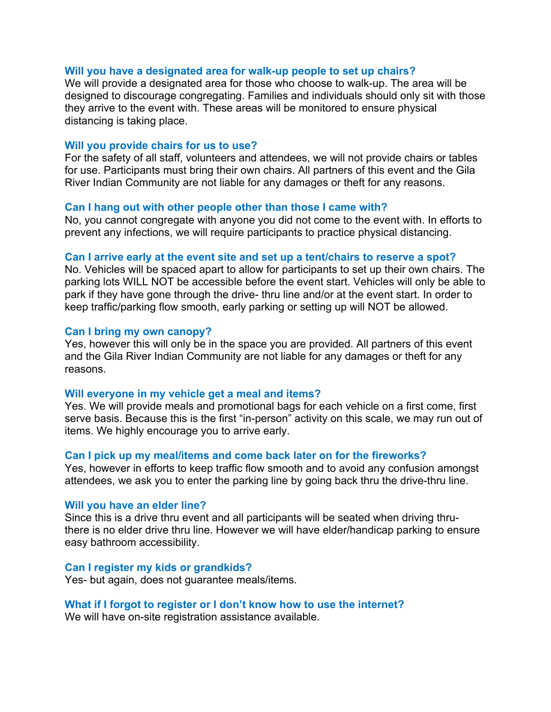### **Will you have a designated area for walk-up people to set up chairs?**

We will provide a designated area for those who choose to walk-up. The area will be designed to discourage congregating. Families and individuals should only sit with those they arrive to the event with. These areas will be monitored to ensure physical distancing is taking place.

### **Will you provide chairs for us to use?**

For the safety of all staff, volunteers and attendees, we will not provide chairs or tables for use. Participants must bring their own chairs. All partners of this event and the Gila River Indian Community are not liable for any damages or theft for any reasons.

## **Can I hang out with other people other than those I came with?**

No, you cannot congregate with anyone you did not come to the event with. In efforts to prevent any infections, we will require participants to practice physical distancing.

### **Can I arrive early at the event site and set up a tent/chairs to reserve a spot?**

No. Vehicles will be spaced apart to allow for participants to set up their own chairs. The parking lots WILL NOT be accessible before the event start. Vehicles will only be able to park if they have gone through the drive- thru line and/or at the event start. In order to keep traffic/parking flow smooth, early parking or setting up will NOT be allowed.

#### **Can I bring my own canopy?**

Yes, however this will only be in the space you are provided. All partners of this event and the Gila River Indian Community are not liable for any damages or theft for any reasons.

#### **Will everyone in my vehicle get a meal and items?**

Yes. We will provide meals and promotional bags for each vehicle on a first come, first serve basis. Because this is the first "in-person" activity on this scale, we may run out of items. We highly encourage you to arrive early.

#### **Can I pick up my meal/items and come back later on for the fireworks?**

Yes, however in efforts to keep traffic flow smooth and to avoid any confusion amongst attendees, we ask you to enter the parking line by going back thru the drive-thru line.

#### **Will you have an elder line?**

Since this is a drive thru event and all participants will be seated when driving thruthere is no elder drive thru line. However we will have elder/handicap parking to ensure easy bathroom accessibility.

#### **Can I register my kids or grandkids?**

Yes- but again, does not guarantee meals/items.

#### **What if I forgot to register or I don't know how to use the internet?**

We will have on-site registration assistance available.